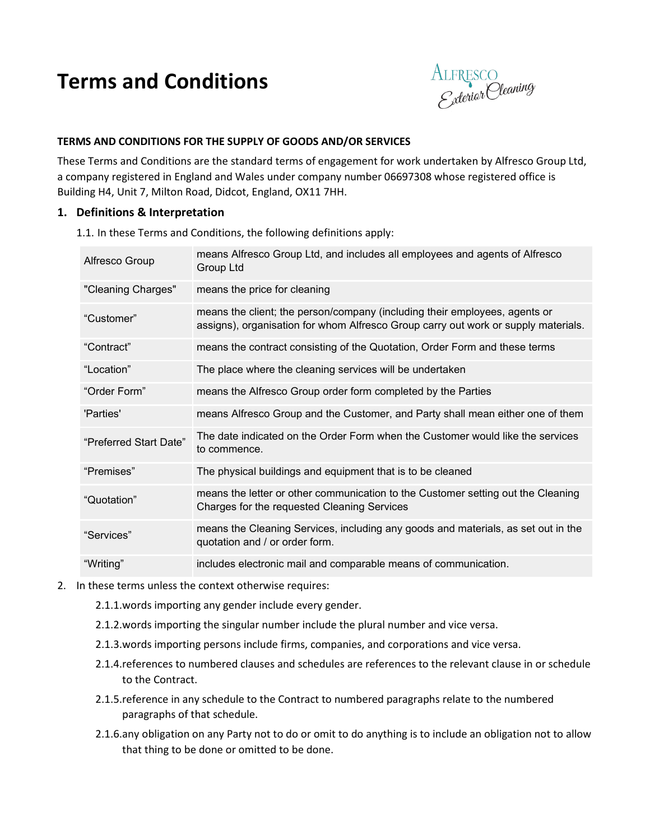# **Terms and Conditions**



## **TERMS AND CONDITIONS FOR THE SUPPLY OF GOODS AND/OR SERVICES**

These Terms and Conditions are the standard terms of engagement for work undertaken by Alfresco Group Ltd, a company registered in England and Wales under company number 06697308 whose registered office is Building H4, Unit 7, Milton Road, Didcot, England, OX11 7HH.

#### **1. Definitions & Interpretation**

1.1. In these Terms and Conditions, the following definitions apply:

| Alfresco Group         | means Alfresco Group Ltd, and includes all employees and agents of Alfresco<br>Group Ltd                                                                         |
|------------------------|------------------------------------------------------------------------------------------------------------------------------------------------------------------|
| "Cleaning Charges"     | means the price for cleaning                                                                                                                                     |
| "Customer"             | means the client; the person/company (including their employees, agents or<br>assigns), organisation for whom Alfresco Group carry out work or supply materials. |
| "Contract"             | means the contract consisting of the Quotation, Order Form and these terms                                                                                       |
| "Location"             | The place where the cleaning services will be undertaken                                                                                                         |
| "Order Form"           | means the Alfresco Group order form completed by the Parties                                                                                                     |
| 'Parties'              | means Alfresco Group and the Customer, and Party shall mean either one of them                                                                                   |
| "Preferred Start Date" | The date indicated on the Order Form when the Customer would like the services<br>to commence.                                                                   |
| "Premises"             | The physical buildings and equipment that is to be cleaned                                                                                                       |
| "Quotation"            | means the letter or other communication to the Customer setting out the Cleaning<br>Charges for the requested Cleaning Services                                  |
| "Services"             | means the Cleaning Services, including any goods and materials, as set out in the<br>quotation and / or order form.                                              |
| "Writing"              | includes electronic mail and comparable means of communication.                                                                                                  |

- 2. In these terms unless the context otherwise requires:
	- 2.1.1.words importing any gender include every gender.
	- 2.1.2.words importing the singular number include the plural number and vice versa.
	- 2.1.3.words importing persons include firms, companies, and corporations and vice versa.
	- 2.1.4.references to numbered clauses and schedules are references to the relevant clause in or schedule to the Contract.
	- 2.1.5.reference in any schedule to the Contract to numbered paragraphs relate to the numbered paragraphs of that schedule.
	- 2.1.6.any obligation on any Party not to do or omit to do anything is to include an obligation not to allow that thing to be done or omitted to be done.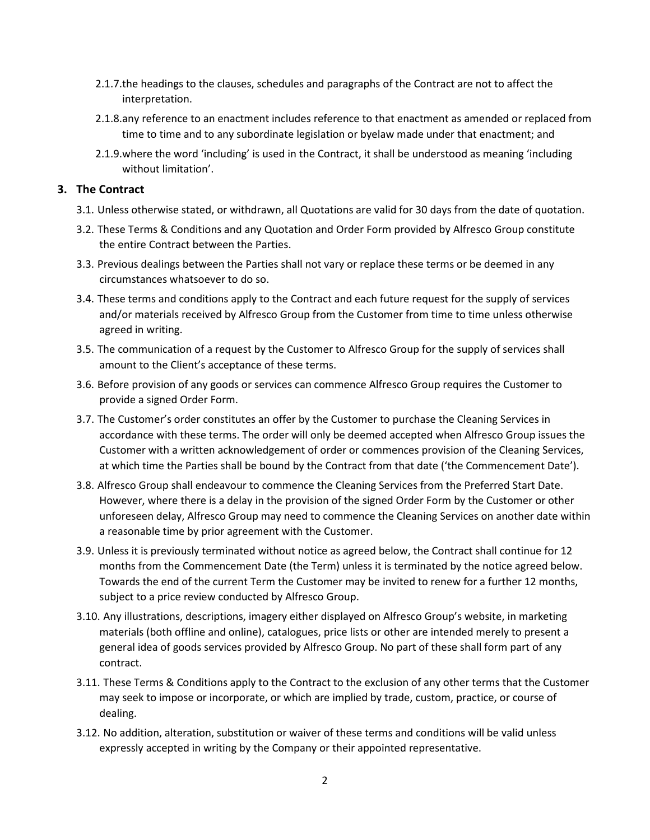- 2.1.7.the headings to the clauses, schedules and paragraphs of the Contract are not to affect the interpretation.
- 2.1.8.any reference to an enactment includes reference to that enactment as amended or replaced from time to time and to any subordinate legislation or byelaw made under that enactment; and
- 2.1.9.where the word 'including' is used in the Contract, it shall be understood as meaning 'including without limitation'.

#### **3. The Contract**

- 3.1. Unless otherwise stated, or withdrawn, all Quotations are valid for 30 days from the date of quotation.
- 3.2. These Terms & Conditions and any Quotation and Order Form provided by Alfresco Group constitute the entire Contract between the Parties.
- 3.3. Previous dealings between the Parties shall not vary or replace these terms or be deemed in any circumstances whatsoever to do so.
- 3.4. These terms and conditions apply to the Contract and each future request for the supply of services and/or materials received by Alfresco Group from the Customer from time to time unless otherwise agreed in writing.
- 3.5. The communication of a request by the Customer to Alfresco Group for the supply of services shall amount to the Client's acceptance of these terms.
- 3.6. Before provision of any goods or services can commence Alfresco Group requires the Customer to provide a signed Order Form.
- 3.7. The Customer's order constitutes an offer by the Customer to purchase the Cleaning Services in accordance with these terms. The order will only be deemed accepted when Alfresco Group issues the Customer with a written acknowledgement of order or commences provision of the Cleaning Services, at which time the Parties shall be bound by the Contract from that date ('the Commencement Date').
- 3.8. Alfresco Group shall endeavour to commence the Cleaning Services from the Preferred Start Date. However, where there is a delay in the provision of the signed Order Form by the Customer or other unforeseen delay, Alfresco Group may need to commence the Cleaning Services on another date within a reasonable time by prior agreement with the Customer.
- 3.9. Unless it is previously terminated without notice as agreed below, the Contract shall continue for 12 months from the Commencement Date (the Term) unless it is terminated by the notice agreed below. Towards the end of the current Term the Customer may be invited to renew for a further 12 months, subject to a price review conducted by Alfresco Group.
- 3.10. Any illustrations, descriptions, imagery either displayed on Alfresco Group's website, in marketing materials (both offline and online), catalogues, price lists or other are intended merely to present a general idea of goods services provided by Alfresco Group. No part of these shall form part of any contract.
- 3.11. These Terms & Conditions apply to the Contract to the exclusion of any other terms that the Customer may seek to impose or incorporate, or which are implied by trade, custom, practice, or course of dealing.
- 3.12. No addition, alteration, substitution or waiver of these terms and conditions will be valid unless expressly accepted in writing by the Company or their appointed representative.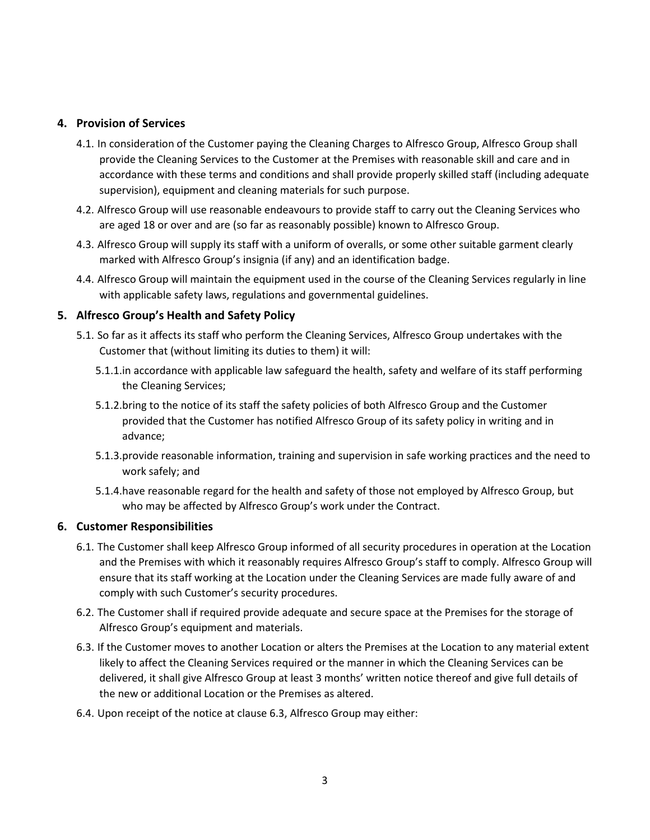# **4. Provision of Services**

- 4.1. In consideration of the Customer paying the Cleaning Charges to Alfresco Group, Alfresco Group shall provide the Cleaning Services to the Customer at the Premises with reasonable skill and care and in accordance with these terms and conditions and shall provide properly skilled staff (including adequate supervision), equipment and cleaning materials for such purpose.
- 4.2. Alfresco Group will use reasonable endeavours to provide staff to carry out the Cleaning Services who are aged 18 or over and are (so far as reasonably possible) known to Alfresco Group.
- 4.3. Alfresco Group will supply its staff with a uniform of overalls, or some other suitable garment clearly marked with Alfresco Group's insignia (if any) and an identification badge.
- 4.4. Alfresco Group will maintain the equipment used in the course of the Cleaning Services regularly in line with applicable safety laws, regulations and governmental guidelines.

#### **5. Alfresco Group's Health and Safety Policy**

- 5.1. So far as it affects its staff who perform the Cleaning Services, Alfresco Group undertakes with the Customer that (without limiting its duties to them) it will:
	- 5.1.1.in accordance with applicable law safeguard the health, safety and welfare of its staff performing the Cleaning Services;
	- 5.1.2.bring to the notice of its staff the safety policies of both Alfresco Group and the Customer provided that the Customer has notified Alfresco Group of its safety policy in writing and in advance;
	- 5.1.3.provide reasonable information, training and supervision in safe working practices and the need to work safely; and
	- 5.1.4.have reasonable regard for the health and safety of those not employed by Alfresco Group, but who may be affected by Alfresco Group's work under the Contract.

#### **6. Customer Responsibilities**

- 6.1. The Customer shall keep Alfresco Group informed of all security procedures in operation at the Location and the Premises with which it reasonably requires Alfresco Group's staff to comply. Alfresco Group will ensure that its staff working at the Location under the Cleaning Services are made fully aware of and comply with such Customer's security procedures.
- 6.2. The Customer shall if required provide adequate and secure space at the Premises for the storage of Alfresco Group's equipment and materials.
- 6.3. If the Customer moves to another Location or alters the Premises at the Location to any material extent likely to affect the Cleaning Services required or the manner in which the Cleaning Services can be delivered, it shall give Alfresco Group at least 3 months' written notice thereof and give full details of the new or additional Location or the Premises as altered.
- 6.4. Upon receipt of the notice at clause 6.3, Alfresco Group may either: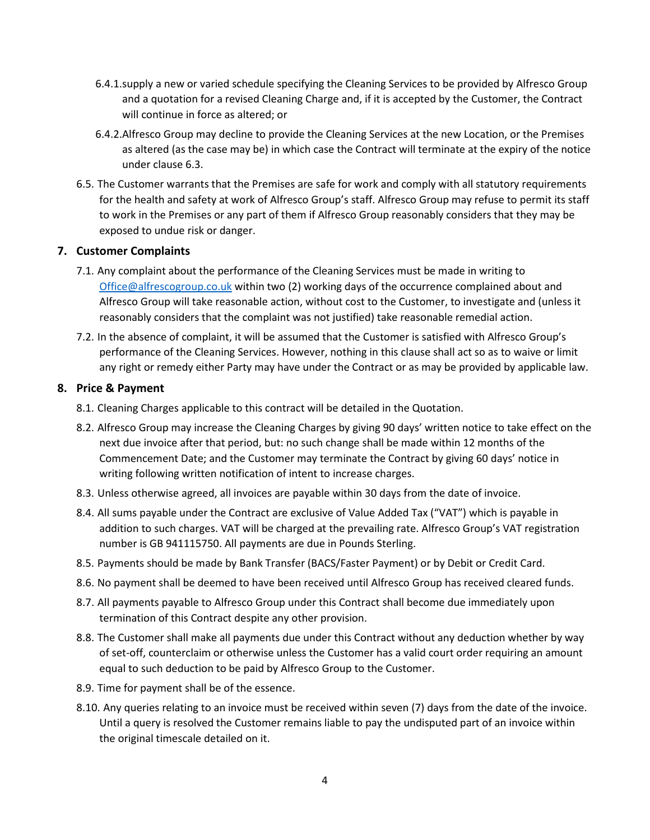- 6.4.1.supply a new or varied schedule specifying the Cleaning Services to be provided by Alfresco Group and a quotation for a revised Cleaning Charge and, if it is accepted by the Customer, the Contract will continue in force as altered; or
- 6.4.2.Alfresco Group may decline to provide the Cleaning Services at the new Location, or the Premises as altered (as the case may be) in which case the Contract will terminate at the expiry of the notice under clause 6.3.
- 6.5. The Customer warrants that the Premises are safe for work and comply with all statutory requirements for the health and safety at work of Alfresco Group's staff. Alfresco Group may refuse to permit its staff to work in the Premises or any part of them if Alfresco Group reasonably considers that they may be exposed to undue risk or danger.

# **7. Customer Complaints**

- 7.1. Any complaint about the performance of the Cleaning Services must be made in writing to [Office@alfrescogroup.co.uk](mailto:Office@alfrescogroup.co.uk) within two (2) working days of the occurrence complained about and Alfresco Group will take reasonable action, without cost to the Customer, to investigate and (unless it reasonably considers that the complaint was not justified) take reasonable remedial action.
- 7.2. In the absence of complaint, it will be assumed that the Customer is satisfied with Alfresco Group's performance of the Cleaning Services. However, nothing in this clause shall act so as to waive or limit any right or remedy either Party may have under the Contract or as may be provided by applicable law.

## **8. Price & Payment**

- 8.1. Cleaning Charges applicable to this contract will be detailed in the Quotation.
- 8.2. Alfresco Group may increase the Cleaning Charges by giving 90 days' written notice to take effect on the next due invoice after that period, but: no such change shall be made within 12 months of the Commencement Date; and the Customer may terminate the Contract by giving 60 days' notice in writing following written notification of intent to increase charges.
- 8.3. Unless otherwise agreed, all invoices are payable within 30 days from the date of invoice.
- 8.4. All sums payable under the Contract are exclusive of Value Added Tax ("VAT") which is payable in addition to such charges. VAT will be charged at the prevailing rate. Alfresco Group's VAT registration number is GB 941115750. All payments are due in Pounds Sterling.
- 8.5. Payments should be made by Bank Transfer (BACS/Faster Payment) or by Debit or Credit Card.
- 8.6. No payment shall be deemed to have been received until Alfresco Group has received cleared funds.
- 8.7. All payments payable to Alfresco Group under this Contract shall become due immediately upon termination of this Contract despite any other provision.
- 8.8. The Customer shall make all payments due under this Contract without any deduction whether by way of set-off, counterclaim or otherwise unless the Customer has a valid court order requiring an amount equal to such deduction to be paid by Alfresco Group to the Customer.
- 8.9. Time for payment shall be of the essence.
- 8.10. Any queries relating to an invoice must be received within seven (7) days from the date of the invoice. Until a query is resolved the Customer remains liable to pay the undisputed part of an invoice within the original timescale detailed on it.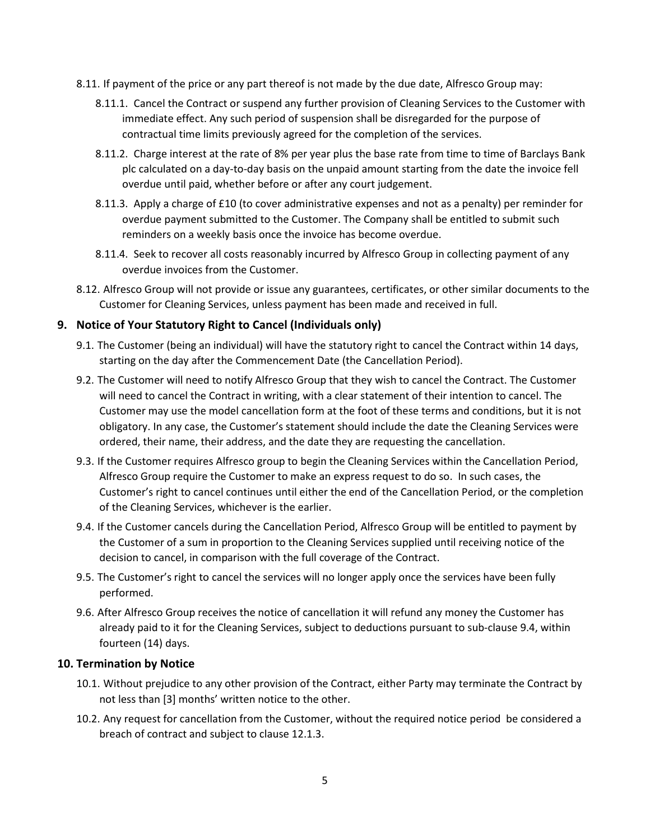- 8.11. If payment of the price or any part thereof is not made by the due date, Alfresco Group may:
	- 8.11.1. Cancel the Contract or suspend any further provision of Cleaning Services to the Customer with immediate effect. Any such period of suspension shall be disregarded for the purpose of contractual time limits previously agreed for the completion of the services.
	- 8.11.2. Charge interest at the rate of 8% per year plus the base rate from time to time of Barclays Bank plc calculated on a day-to-day basis on the unpaid amount starting from the date the invoice fell overdue until paid, whether before or after any court judgement.
	- 8.11.3. Apply a charge of £10 (to cover administrative expenses and not as a penalty) per reminder for overdue payment submitted to the Customer. The Company shall be entitled to submit such reminders on a weekly basis once the invoice has become overdue.
	- 8.11.4. Seek to recover all costs reasonably incurred by Alfresco Group in collecting payment of any overdue invoices from the Customer.
- 8.12. Alfresco Group will not provide or issue any guarantees, certificates, or other similar documents to the Customer for Cleaning Services, unless payment has been made and received in full.

# **9. Notice of Your Statutory Right to Cancel (Individuals only)**

- 9.1. The Customer (being an individual) will have the statutory right to cancel the Contract within 14 days, starting on the day after the Commencement Date (the Cancellation Period).
- 9.2. The Customer will need to notify Alfresco Group that they wish to cancel the Contract. The Customer will need to cancel the Contract in writing, with a clear statement of their intention to cancel. The Customer may use the model cancellation form at the foot of these terms and conditions, but it is not obligatory. In any case, the Customer's statement should include the date the Cleaning Services were ordered, their name, their address, and the date they are requesting the cancellation.
- 9.3. If the Customer requires Alfresco group to begin the Cleaning Services within the Cancellation Period, Alfresco Group require the Customer to make an express request to do so. In such cases, the Customer's right to cancel continues until either the end of the Cancellation Period, or the completion of the Cleaning Services, whichever is the earlier.
- 9.4. If the Customer cancels during the Cancellation Period, Alfresco Group will be entitled to payment by the Customer of a sum in proportion to the Cleaning Services supplied until receiving notice of the decision to cancel, in comparison with the full coverage of the Contract.
- 9.5. The Customer's right to cancel the services will no longer apply once the services have been fully performed.
- 9.6. After Alfresco Group receives the notice of cancellation it will refund any money the Customer has already paid to it for the Cleaning Services, subject to deductions pursuant to sub-clause 9.4, within fourteen (14) days.

# **10. Termination by Notice**

- 10.1. Without prejudice to any other provision of the Contract, either Party may terminate the Contract by not less than [3] months' written notice to the other.
- 10.2. Any request for cancellation from the Customer, without the required notice period be considered a breach of contract and subject to clause 12.1.3.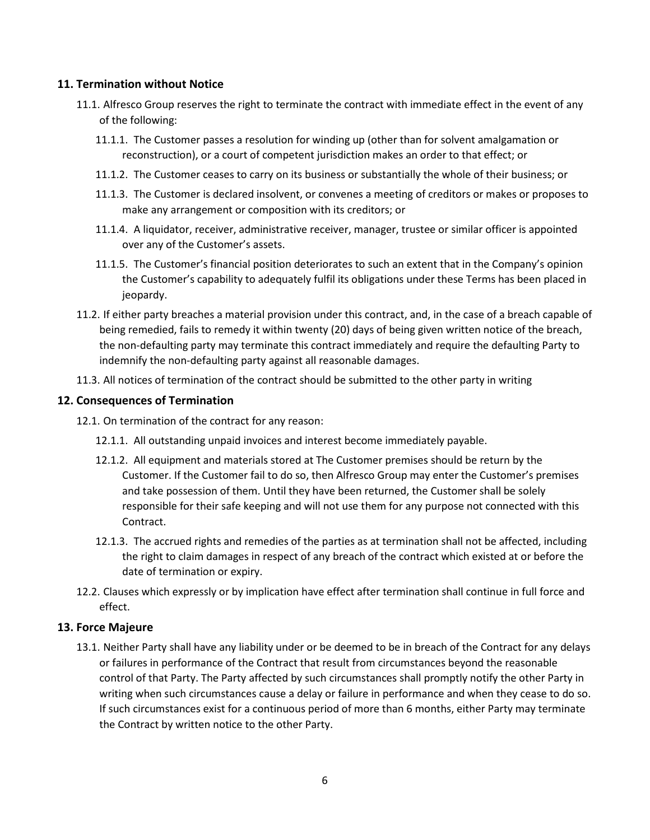## **11. Termination without Notice**

- 11.1. Alfresco Group reserves the right to terminate the contract with immediate effect in the event of any of the following:
	- 11.1.1. The Customer passes a resolution for winding up (other than for solvent amalgamation or reconstruction), or a court of competent jurisdiction makes an order to that effect; or
	- 11.1.2. The Customer ceases to carry on its business or substantially the whole of their business; or
	- 11.1.3. The Customer is declared insolvent, or convenes a meeting of creditors or makes or proposes to make any arrangement or composition with its creditors; or
	- 11.1.4. A liquidator, receiver, administrative receiver, manager, trustee or similar officer is appointed over any of the Customer's assets.
	- 11.1.5. The Customer's financial position deteriorates to such an extent that in the Company's opinion the Customer's capability to adequately fulfil its obligations under these Terms has been placed in jeopardy.
- 11.2. If either party breaches a material provision under this contract, and, in the case of a breach capable of being remedied, fails to remedy it within twenty (20) days of being given written notice of the breach, the non-defaulting party may terminate this contract immediately and require the defaulting Party to indemnify the non-defaulting party against all reasonable damages.
- 11.3. All notices of termination of the contract should be submitted to the other party in writing

#### **12. Consequences of Termination**

- 12.1. On termination of the contract for any reason:
	- 12.1.1. All outstanding unpaid invoices and interest become immediately payable.
	- 12.1.2. All equipment and materials stored at The Customer premises should be return by the Customer. If the Customer fail to do so, then Alfresco Group may enter the Customer's premises and take possession of them. Until they have been returned, the Customer shall be solely responsible for their safe keeping and will not use them for any purpose not connected with this Contract.
	- 12.1.3. The accrued rights and remedies of the parties as at termination shall not be affected, including the right to claim damages in respect of any breach of the contract which existed at or before the date of termination or expiry.
- 12.2. Clauses which expressly or by implication have effect after termination shall continue in full force and effect.

#### **13. Force Majeure**

13.1. Neither Party shall have any liability under or be deemed to be in breach of the Contract for any delays or failures in performance of the Contract that result from circumstances beyond the reasonable control of that Party. The Party affected by such circumstances shall promptly notify the other Party in writing when such circumstances cause a delay or failure in performance and when they cease to do so. If such circumstances exist for a continuous period of more than 6 months, either Party may terminate the Contract by written notice to the other Party.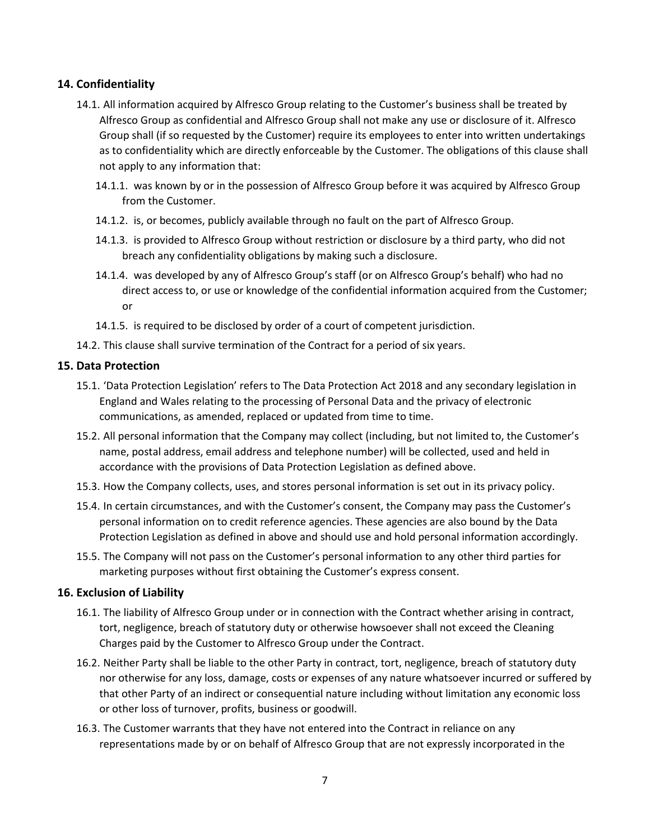# **14. Confidentiality**

- 14.1. All information acquired by Alfresco Group relating to the Customer's business shall be treated by Alfresco Group as confidential and Alfresco Group shall not make any use or disclosure of it. Alfresco Group shall (if so requested by the Customer) require its employees to enter into written undertakings as to confidentiality which are directly enforceable by the Customer. The obligations of this clause shall not apply to any information that:
	- 14.1.1. was known by or in the possession of Alfresco Group before it was acquired by Alfresco Group from the Customer.
	- 14.1.2. is, or becomes, publicly available through no fault on the part of Alfresco Group.
	- 14.1.3. is provided to Alfresco Group without restriction or disclosure by a third party, who did not breach any confidentiality obligations by making such a disclosure.
	- 14.1.4. was developed by any of Alfresco Group's staff (or on Alfresco Group's behalf) who had no direct access to, or use or knowledge of the confidential information acquired from the Customer; or
	- 14.1.5. is required to be disclosed by order of a court of competent jurisdiction.
- 14.2. This clause shall survive termination of the Contract for a period of six years.

#### **15. Data Protection**

- 15.1. 'Data Protection Legislation' refers to The Data Protection Act 2018 and any secondary legislation in England and Wales relating to the processing of Personal Data and the privacy of electronic communications, as amended, replaced or updated from time to time.
- 15.2. All personal information that the Company may collect (including, but not limited to, the Customer's name, postal address, email address and telephone number) will be collected, used and held in accordance with the provisions of Data Protection Legislation as defined above.
- 15.3. How the Company collects, uses, and stores personal information is set out in its privacy policy.
- 15.4. In certain circumstances, and with the Customer's consent, the Company may pass the Customer's personal information on to credit reference agencies. These agencies are also bound by the Data Protection Legislation as defined in above and should use and hold personal information accordingly.
- 15.5. The Company will not pass on the Customer's personal information to any other third parties for marketing purposes without first obtaining the Customer's express consent.

#### **16. Exclusion of Liability**

- 16.1. The liability of Alfresco Group under or in connection with the Contract whether arising in contract, tort, negligence, breach of statutory duty or otherwise howsoever shall not exceed the Cleaning Charges paid by the Customer to Alfresco Group under the Contract.
- 16.2. Neither Party shall be liable to the other Party in contract, tort, negligence, breach of statutory duty nor otherwise for any loss, damage, costs or expenses of any nature whatsoever incurred or suffered by that other Party of an indirect or consequential nature including without limitation any economic loss or other loss of turnover, profits, business or goodwill.
- 16.3. The Customer warrants that they have not entered into the Contract in reliance on any representations made by or on behalf of Alfresco Group that are not expressly incorporated in the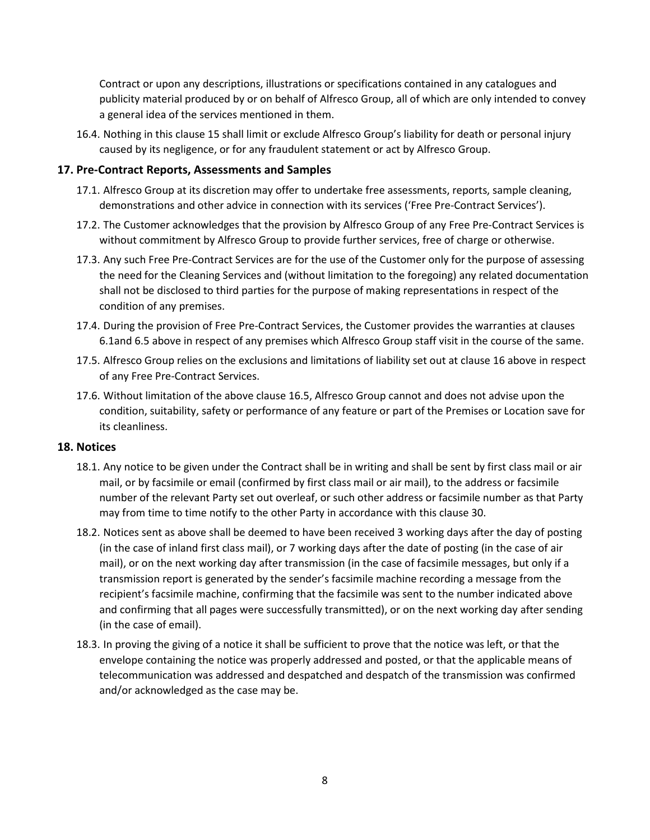Contract or upon any descriptions, illustrations or specifications contained in any catalogues and publicity material produced by or on behalf of Alfresco Group, all of which are only intended to convey a general idea of the services mentioned in them.

16.4. Nothing in this clause 15 shall limit or exclude Alfresco Group's liability for death or personal injury caused by its negligence, or for any fraudulent statement or act by Alfresco Group.

## **17. Pre-Contract Reports, Assessments and Samples**

- 17.1. Alfresco Group at its discretion may offer to undertake free assessments, reports, sample cleaning, demonstrations and other advice in connection with its services ('Free Pre-Contract Services').
- 17.2. The Customer acknowledges that the provision by Alfresco Group of any Free Pre-Contract Services is without commitment by Alfresco Group to provide further services, free of charge or otherwise.
- 17.3. Any such Free Pre-Contract Services are for the use of the Customer only for the purpose of assessing the need for the Cleaning Services and (without limitation to the foregoing) any related documentation shall not be disclosed to third parties for the purpose of making representations in respect of the condition of any premises.
- 17.4. During the provision of Free Pre-Contract Services, the Customer provides the warranties at clauses 6.1and 6.5 above in respect of any premises which Alfresco Group staff visit in the course of the same.
- 17.5. Alfresco Group relies on the exclusions and limitations of liability set out at clause 16 above in respect of any Free Pre-Contract Services.
- 17.6. Without limitation of the above clause 16.5, Alfresco Group cannot and does not advise upon the condition, suitability, safety or performance of any feature or part of the Premises or Location save for its cleanliness.

#### **18. Notices**

- 18.1. Any notice to be given under the Contract shall be in writing and shall be sent by first class mail or air mail, or by facsimile or email (confirmed by first class mail or air mail), to the address or facsimile number of the relevant Party set out overleaf, or such other address or facsimile number as that Party may from time to time notify to the other Party in accordance with this clause 30.
- 18.2. Notices sent as above shall be deemed to have been received 3 working days after the day of posting (in the case of inland first class mail), or 7 working days after the date of posting (in the case of air mail), or on the next working day after transmission (in the case of facsimile messages, but only if a transmission report is generated by the sender's facsimile machine recording a message from the recipient's facsimile machine, confirming that the facsimile was sent to the number indicated above and confirming that all pages were successfully transmitted), or on the next working day after sending (in the case of email).
- 18.3. In proving the giving of a notice it shall be sufficient to prove that the notice was left, or that the envelope containing the notice was properly addressed and posted, or that the applicable means of telecommunication was addressed and despatched and despatch of the transmission was confirmed and/or acknowledged as the case may be.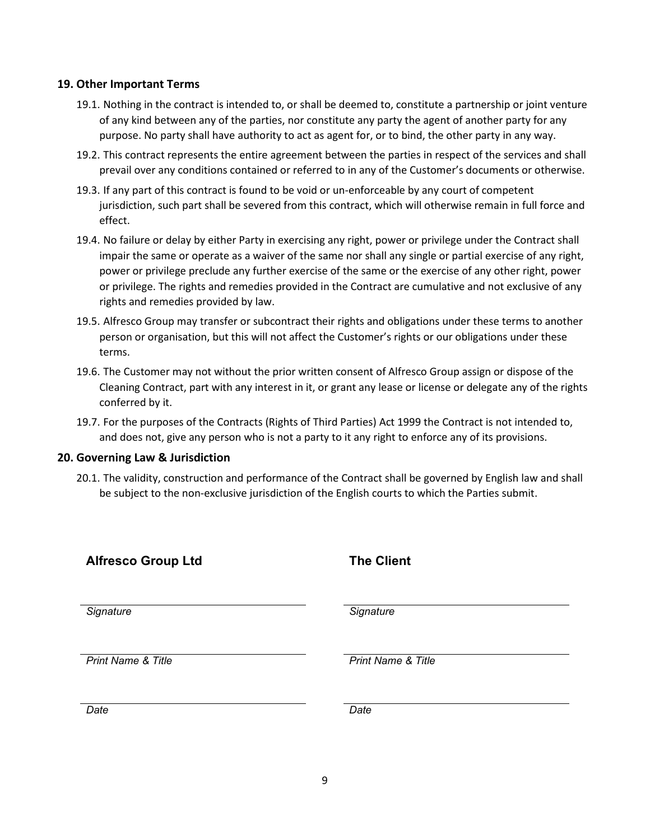#### **19. Other Important Terms**

- 19.1. Nothing in the contract is intended to, or shall be deemed to, constitute a partnership or joint venture of any kind between any of the parties, nor constitute any party the agent of another party for any purpose. No party shall have authority to act as agent for, or to bind, the other party in any way.
- 19.2. This contract represents the entire agreement between the parties in respect of the services and shall prevail over any conditions contained or referred to in any of the Customer's documents or otherwise.
- 19.3. If any part of this contract is found to be void or un-enforceable by any court of competent jurisdiction, such part shall be severed from this contract, which will otherwise remain in full force and effect.
- 19.4. No failure or delay by either Party in exercising any right, power or privilege under the Contract shall impair the same or operate as a waiver of the same nor shall any single or partial exercise of any right, power or privilege preclude any further exercise of the same or the exercise of any other right, power or privilege. The rights and remedies provided in the Contract are cumulative and not exclusive of any rights and remedies provided by law.
- 19.5. Alfresco Group may transfer or subcontract their rights and obligations under these terms to another person or organisation, but this will not affect the Customer's rights or our obligations under these terms.
- 19.6. The Customer may not without the prior written consent of Alfresco Group assign or dispose of the Cleaning Contract, part with any interest in it, or grant any lease or license or delegate any of the rights conferred by it.
- 19.7. For the purposes of the Contracts (Rights of Third Parties) Act 1999 the Contract is not intended to, and does not, give any person who is not a party to it any right to enforce any of its provisions.

#### **20. Governing Law & Jurisdiction**

20.1. The validity, construction and performance of the Contract shall be governed by English law and shall be subject to the non-exclusive jurisdiction of the English courts to which the Parties submit.

| <b>Alfresco Group Ltd</b>     | <b>The Client</b>             |
|-------------------------------|-------------------------------|
| Signature                     | Signature                     |
| <b>Print Name &amp; Title</b> | <b>Print Name &amp; Title</b> |
| Date                          | Date                          |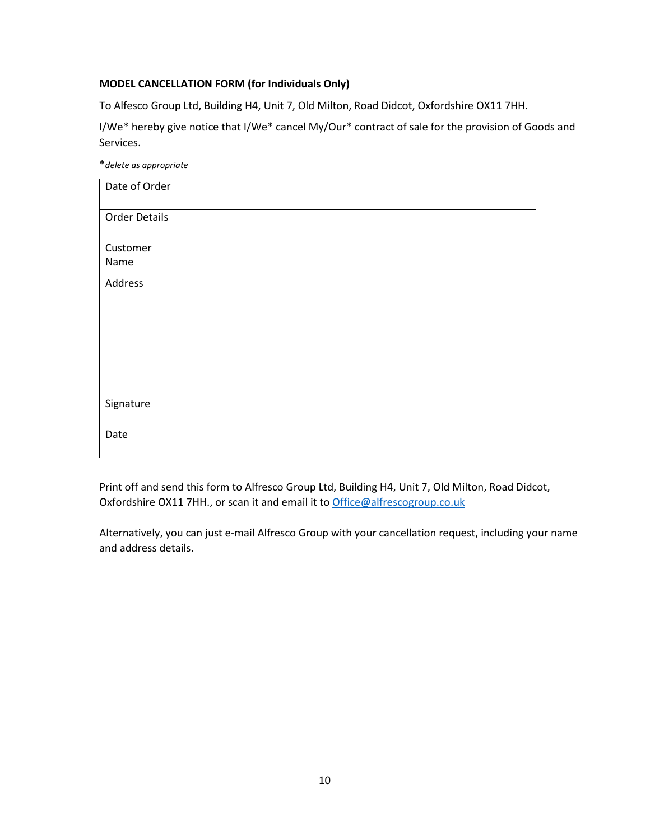## **MODEL CANCELLATION FORM (for Individuals Only)**

To Alfesco Group Ltd, Building H4, Unit 7, Old Milton, Road Didcot, Oxfordshire OX11 7HH.

I/We\* hereby give notice that I/We\* cancel My/Our\* contract of sale for the provision of Goods and Services.

\**delete as appropriate*

| Date of Order        |  |
|----------------------|--|
| <b>Order Details</b> |  |
| Customer             |  |
| Name                 |  |
| Address              |  |
|                      |  |
|                      |  |
|                      |  |
|                      |  |
|                      |  |
|                      |  |
| Signature            |  |
|                      |  |
| Date                 |  |
|                      |  |

Print off and send this form to Alfresco Group Ltd, Building H4, Unit 7, Old Milton, Road Didcot, Oxfordshire OX11 7HH., or scan it and email it to [Office@alfrescogroup.co.uk](mailto:Office@alfrescogroup.co.uk)

Alternatively, you can just e-mail Alfresco Group with your cancellation request, including your name and address details.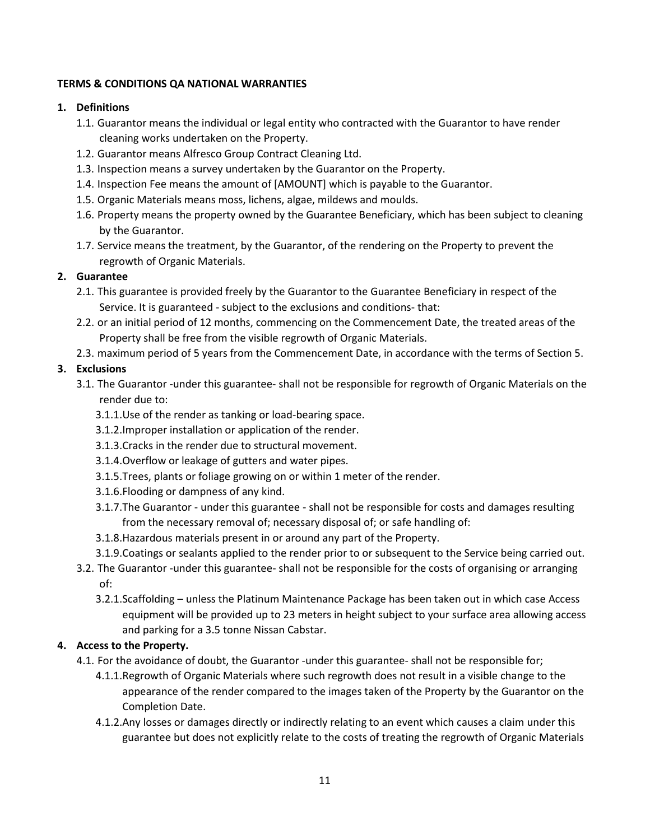## **TERMS & CONDITIONS QA NATIONAL WARRANTIES**

## **1. Definitions**

- 1.1. Guarantor means the individual or legal entity who contracted with the Guarantor to have render cleaning works undertaken on the Property.
- 1.2. Guarantor means Alfresco Group Contract Cleaning Ltd.
- 1.3. Inspection means a survey undertaken by the Guarantor on the Property.
- 1.4. Inspection Fee means the amount of [AMOUNT] which is payable to the Guarantor.
- 1.5. Organic Materials means moss, lichens, algae, mildews and moulds.
- 1.6. Property means the property owned by the Guarantee Beneficiary, which has been subject to cleaning by the Guarantor.
- 1.7. Service means the treatment, by the Guarantor, of the rendering on the Property to prevent the regrowth of Organic Materials.

## **2. Guarantee**

- 2.1. This guarantee is provided freely by the Guarantor to the Guarantee Beneficiary in respect of the Service. It is guaranteed - subject to the exclusions and conditions- that:
- 2.2. or an initial period of 12 months, commencing on the Commencement Date, the treated areas of the Property shall be free from the visible regrowth of Organic Materials.
- 2.3. maximum period of 5 years from the Commencement Date, in accordance with the terms of Section 5.

# **3. Exclusions**

- 3.1. The Guarantor -under this guarantee- shall not be responsible for regrowth of Organic Materials on the render due to:
	- 3.1.1.Use of the render as tanking or load-bearing space.
	- 3.1.2.Improper installation or application of the render.
	- 3.1.3.Cracks in the render due to structural movement.
	- 3.1.4.Overflow or leakage of gutters and water pipes.
	- 3.1.5.Trees, plants or foliage growing on or within 1 meter of the render.
	- 3.1.6.Flooding or dampness of any kind.
	- 3.1.7.The Guarantor under this guarantee shall not be responsible for costs and damages resulting from the necessary removal of; necessary disposal of; or safe handling of:
	- 3.1.8.Hazardous materials present in or around any part of the Property.
	- 3.1.9.Coatings or sealants applied to the render prior to or subsequent to the Service being carried out.
- 3.2. The Guarantor -under this guarantee- shall not be responsible for the costs of organising or arranging of:
	- 3.2.1.Scaffolding unless the Platinum Maintenance Package has been taken out in which case Access equipment will be provided up to 23 meters in height subject to your surface area allowing access and parking for a 3.5 tonne Nissan Cabstar.

# **4. Access to the Property.**

- 4.1. For the avoidance of doubt, the Guarantor -under this guarantee- shall not be responsible for;
	- 4.1.1.Regrowth of Organic Materials where such regrowth does not result in a visible change to the appearance of the render compared to the images taken of the Property by the Guarantor on the Completion Date.
	- 4.1.2.Any losses or damages directly or indirectly relating to an event which causes a claim under this guarantee but does not explicitly relate to the costs of treating the regrowth of Organic Materials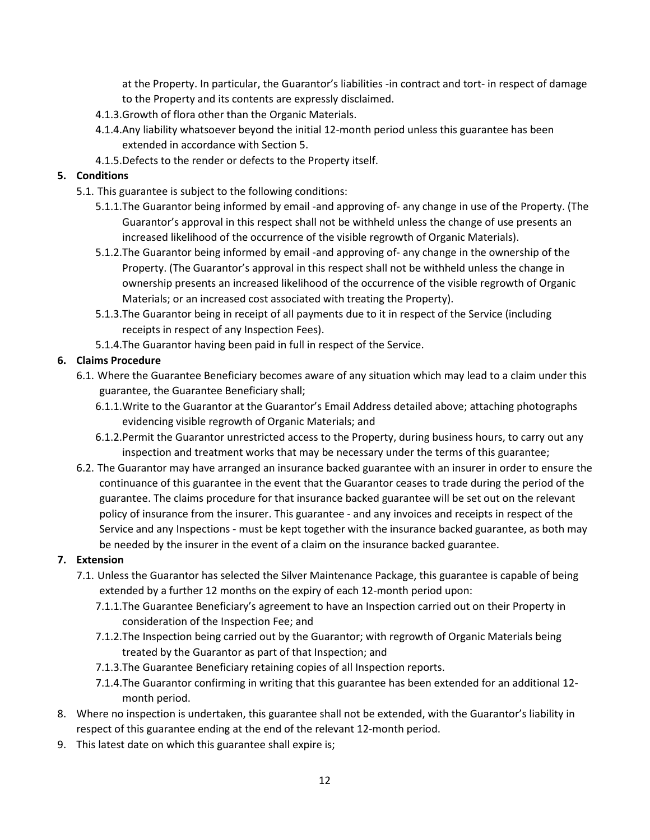at the Property. In particular, the Guarantor's liabilities -in contract and tort- in respect of damage to the Property and its contents are expressly disclaimed.

- 4.1.3.Growth of flora other than the Organic Materials.
- 4.1.4.Any liability whatsoever beyond the initial 12-month period unless this guarantee has been extended in accordance with Section 5.
- 4.1.5.Defects to the render or defects to the Property itself.

## **5. Conditions**

- 5.1. This guarantee is subject to the following conditions:
	- 5.1.1.The Guarantor being informed by email -and approving of- any change in use of the Property. (The Guarantor's approval in this respect shall not be withheld unless the change of use presents an increased likelihood of the occurrence of the visible regrowth of Organic Materials).
	- 5.1.2.The Guarantor being informed by email -and approving of- any change in the ownership of the Property. (The Guarantor's approval in this respect shall not be withheld unless the change in ownership presents an increased likelihood of the occurrence of the visible regrowth of Organic Materials; or an increased cost associated with treating the Property).
	- 5.1.3.The Guarantor being in receipt of all payments due to it in respect of the Service (including receipts in respect of any Inspection Fees).
	- 5.1.4.The Guarantor having been paid in full in respect of the Service.

## **6. Claims Procedure**

- 6.1. Where the Guarantee Beneficiary becomes aware of any situation which may lead to a claim under this guarantee, the Guarantee Beneficiary shall;
	- 6.1.1.Write to the Guarantor at the Guarantor's Email Address detailed above; attaching photographs evidencing visible regrowth of Organic Materials; and
	- 6.1.2.Permit the Guarantor unrestricted access to the Property, during business hours, to carry out any inspection and treatment works that may be necessary under the terms of this guarantee;
- 6.2. The Guarantor may have arranged an insurance backed guarantee with an insurer in order to ensure the continuance of this guarantee in the event that the Guarantor ceases to trade during the period of the guarantee. The claims procedure for that insurance backed guarantee will be set out on the relevant policy of insurance from the insurer. This guarantee - and any invoices and receipts in respect of the Service and any Inspections - must be kept together with the insurance backed guarantee, as both may be needed by the insurer in the event of a claim on the insurance backed guarantee.

# **7. Extension**

- 7.1. Unless the Guarantor has selected the Silver Maintenance Package, this guarantee is capable of being extended by a further 12 months on the expiry of each 12-month period upon:
	- 7.1.1.The Guarantee Beneficiary's agreement to have an Inspection carried out on their Property in consideration of the Inspection Fee; and
	- 7.1.2.The Inspection being carried out by the Guarantor; with regrowth of Organic Materials being treated by the Guarantor as part of that Inspection; and
	- 7.1.3.The Guarantee Beneficiary retaining copies of all Inspection reports.
	- 7.1.4.The Guarantor confirming in writing that this guarantee has been extended for an additional 12 month period.
- 8. Where no inspection is undertaken, this guarantee shall not be extended, with the Guarantor's liability in respect of this guarantee ending at the end of the relevant 12-month period.
- 9. This latest date on which this guarantee shall expire is;